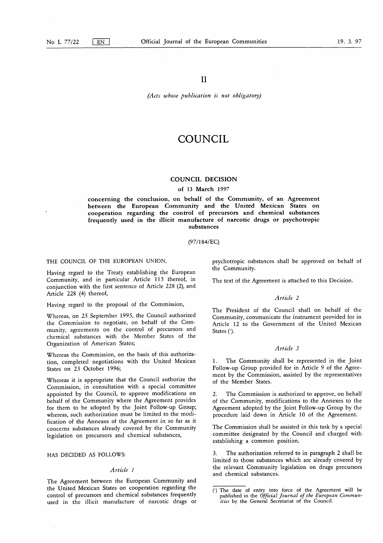II

*(Acts whose publication is not obligatory)*

# COUNCIL

#### COUNCIL DECISION

#### of 13 March 1997

concerning the conclusion, on behalf of the Community, of an Agreement between the European Community and the United Mexican States on cooperation regarding the control of precursors and chemical substances frequently used in the illicit manufacture of narcotic drugs or psychotropic substances

(97/184/EC)

THE COUNCIL OF THE EUROPEAN UNION,

Having regard to the Treaty establishing the European Community, and in particular Article 113 thereof, in conjunction with the first sentence of Article 228 (2), and Article 228 (4) thereof,

Having regard to the proposal of the Commission,

Whereas, on 25 September 1995, the Council authorized the Commission to negotiate, on behalf of the Community, agreements on the control of precursors and chemical substances with the Member States of the Organization of American States;

Whereas the Commission, on the basis of this authorization, completed negotiations with the United Mexican States on 25 October 1996;

Whereas it is appropriate that the Council authorize the Commission, in consultation with a special committee appointed by the Council, to approve modifications on behalf of the Community where the Agreement provides for them to be adopted by the Joint Follow-up Group; whereas, such authorization must be limited to the modification of the Annexes of the Agreement in so far as it concerns substances already covered by the Community legislation on precursors and chemical substances,

# HAS DECIDED AS FOLLOWS:

# *Article 1*

The Agreement between the European Community and the United Mexican States on cooperation regarding the control of precursors and chemical substances frequently used in the illicit manufacture of narcotic drugs or psychotropic substances shall be approved on behalf of the Community.

The text of the Agreement is attached to this Decision.

# *Article 2*

The President of the Council shall on behalf of the Community, communicate the instrument provided for in Article 12 to the Government of the United Mexican States  $($ <sup>1</sup> $).$ 

# *Article 3*

The Community shall be represented in the Joint Follow-up Group provided for in Article 9 of the Agreement by the Commission, assisted by the representatives of the Member States.

2. The Commission is authorized to approve, on behalf of the Community, modifications to the Annexes to the Agreement adopted by the Joint Follow-up Group by the procedure laid down in Article 10 of the Agreement.

The Commission shall be assisted in this task by a special committee designated by the Council and charged with establishing a common position.

3. The authorization referred to in paragraph 2 shall be limited to those substances which are already covered by the relevant Community legislation on drugs precursors and chemical substances.

<sup>(&#</sup>x27;) The date of entry into force of the Agreement will be published in the *Official Journal of the European Communities* by the General Secretariat of the Council.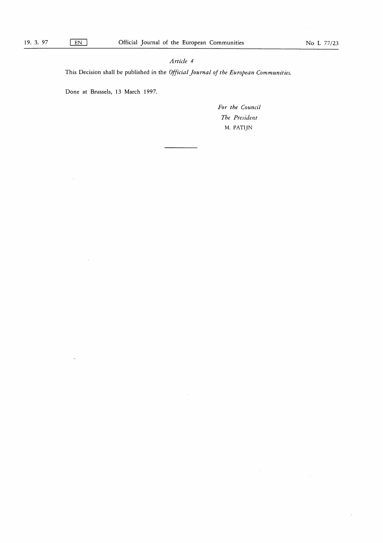# *Article 4*

This Decision shall be published in the *Official Journal of the European Communities.*

Done at Brussels, 13 March 1997.

*For the Council The President* M. PATIJN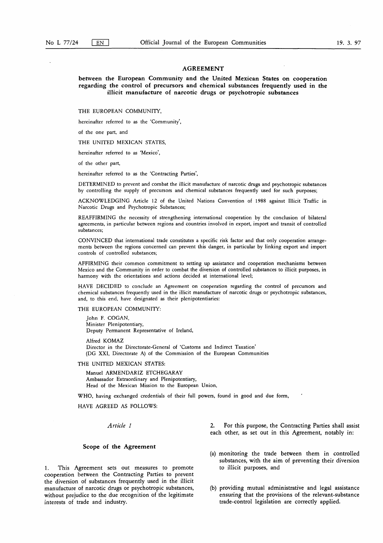#### **AGREEMENT**

**between the European Community and the United Mexican States on cooperation regarding the control of precursors and chemical substances frequently used in the illicit manufacture of narcotic drugs or psychotropic substances**

THE EUROPEAN COMMUNITY,

hereinafter referred to as the 'Community',

of the one part, and

THE UNITED MEXICAN STATES,

hereinafter referred to as 'Mexico',

of the other part,

hereinafter referred to as the 'Contracting Parties',

DETERMINED to prevent and combat the illicit manufacture of narcotic drugs and psychotropic substances by controlling the supply of precursors and chemical substances frequently used for such purposes;

ACKNOWLEDGING Article 12 of the United Nations Convention of 1988 against Illicit Traffic in Narcotic Drugs and Psychotropic Substances;

REAFFIRMING the necessity of strengthening international cooperation by the conclusion of bilateral agreements, in particular between regions and countries involved in export, import and transit of controlled substances;

CONVINCED that international trade constitutes a specific risk factor and that only cooperation arrangements between the regions concerned can prevent this danger, in particular by linking export and import controls of controlled substances;

AFFIRMING their common commitment to setting up assistance and cooperation mechanisms between Mexico and the Community in order to combat the diversion of controlled substances to illicit purposes, in harmony with the orientations and actions decided at international level;

HAVE DECIDED to conclude an Agreement on cooperation regarding the control of precursors and chemical substances frequently used in the illicit manufacture of narcotic drugs or psychotropic substances, and, to this end, have designated as their plenipotentiaries:

THE EUROPEAN COMMUNITY:

John F. COGAN, Minister Plenipotentiary, Deputy Permanent Representative of Ireland,

Alfred KOMAZ Director in the Directorate-General of 'Customs and Indirect Taxation' (DG XXI, Directorate A) of the Commission of the European Communities

THE UNITED MEXICAN STATES:

Manuel ARMENDARIZ ETCHEGARAY Ambassador Extraordinary and Plenipotentiary, Head of the Mexican Mission to the European Union,

WHO, having exchanged credentials of their full powers, found in good and due form,

HAVE AGREED AS FOLLOWS:

#### **Scope of the Agreement**

1. This Agreement sets out measures to promote cooperation between the Contracting Parties to prevent the diversion of substances frequently used in the illicit manufacture of narcotic drugs or psychotropic substances, without prejudice to the due recognition of the legitimate interests of trade and industry.

*Article 1* 2. For this purpose, the Contracting Parties shall assist each other, as set out in this Agreement, notably in:

- (a) monitoring the trade between them in controlled substances, with the aim of preventing their diversion to illicit purposes, and
- (b) providing mutual administrative and legal assistance ensuring that the provisions of the relevant-substance trade-control legislation are correctly applied.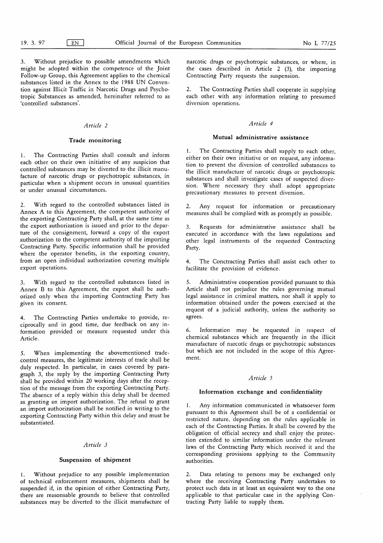3. Without prejudice to possible amendments which might be adopted within the competence of the Joint Follow-up Group, this Agreement applies to the chemical substances listed in the Annex to the 1988 UN Convention against Illicit Traffic in Narcotic Drugs and Psychotropic Substances as amended, hereinafter referred to as `controlled substances'.

# *Article 2*

# **Trade monitoring**

1. The Contracting Parties shall consult and inform each other on their own initiative of any suspicion that controlled substances may be diverted to the illicit manufacture of narcotic drugs or psychotropic substances, in particular when a shipment occurs in unusual quantities or under unusual circumstances.

2. With regard to the controlled substances listed in Annex A to this Agreement, the competent authority of the exporting Contracting Party shall, at the same time as the export authorization is issued and prior to the departure of the consignment, forward a copy of the export authorization to the competent authority of the importing Contracting Party. Specific information shall be provided where the operator benefits, in the exporting country, from an open individual authorization covering multiple export operations.

3. With regard to the controlled substances listed in Annex B to this Agreement, the export shall be authorized only when the importing Contracting Party has given its consent.

The Contracting Parties undertake to provide, reciprocally and in good time, due feedback on any information provided or measure requested under this Article.

5. When implementing the abovementioned tradecontrol measures, the legitimate interests of trade shall be duly respected. In particular, in cases covered by paragraph 3, the reply by the importing Contracting Party shall be provided within 20 working days after the reception of the message from the exporting Contracting Party. The absence of a reply within this delay shall be deemed as granting an import authorization. The refusal to grant an import authorization shall be notified in writing to the exporting Contracting Party within this delay and must be substantiated.

# *Article 3*

#### **Suspension of shipment**

1. Without prejudice to any possible implementation of technical enforcement measures, shipments shall be suspended if, in the opinion of either Contracting Party, there are reasonsable grounds to believe that controlled substances may be diverted to the illicit manufacture of narcotic drugs or psychotropic substances, or where, in the cases described in Article 2 (3), the importing Contracting Party requests the suspension.

2. The Contracting Parties shall cooperate in supplying each other with any information relating to presumed diversion operations.

#### *Article 4*

#### **Mutual administrative assistance**

I. The Contracting Parties shall supply to each other, either on their own initiative or on request, any information to prevent the diversion of controlled substances to the illicit manufacture of narcotic drugs or psychotropic substances and shall investigate cases of suspected diversion. Where necessary they shall adopt appropriate precautionary measures to prevent diversion.

Any request for information or precautionary measures shall be complied with as promptly as possible.

3. Requests for administrative assistance shall be executed in accordance with the laws regulations and other legal instruments of the requested Contracting Party.

4. The Conctracting Parties shall assist each other to facilitate the provision of evidence.

5. Administrative cooperation provided pursuant to this Article shall not prejudice the rules governing mutual legal assistance in criminal matters, nor shall it apply to information obtained under the powers exercised at the request of a judicial authority, unless the authority so agrees.

6. Information may be requested in respect of chemical substances which are frequently in the illicit manufacture of narcotic drugs or psychotropic substances but which are not included in the scope of this Agreement.

#### *Article 5*

#### **Information exchange and confidentiality**

1. Any information communicated in whatsoever form pursuant to this Agreement shall be of a confidential or restricted nature, depending on the rules applicable in each of the Contracting Parties. It shall be covered by the obligation of official secrecy and shall enjoy the protection extended to similar information under the relevant laws of the Contracting Party which received it and the corresponding provisions applying to the Community authorities.

2. Data relating to persons may be exchanged only where the receiving Contracting Party undertakes to protect such data in at least an equivalent way to the one applicable to that particular case in the applying Contracting Party liable to supply them.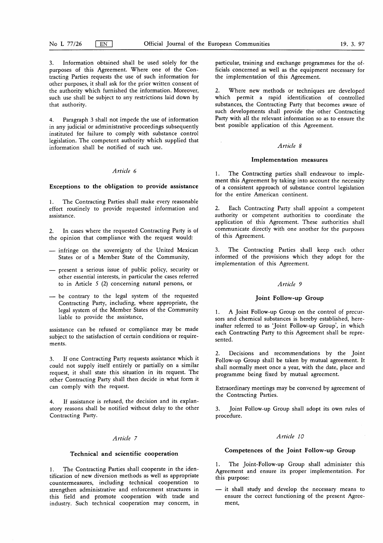3. Information obtained shall be used solely for the purposes of this Agreement. Where one of the Contracting Parties requests the use of such information for other purposes, it shall ask for the prior written consent of the authority which furnished the information. Moreover, such use shall be subject to any restrictions laid down by that authority.

4. Paragraph 3 shall not impede the use of information in any judicial or administrative proceedings subsequently instituted for failure to comply with substance control legislation. The competent authority which supplied that information shall be notified of such use.

# *Article 6*

#### **Exceptions to the obligation to provide assistance**

1. The Contracting Parties shall make every reasonable effort routinely to provide requested information and assistance.

2. In cases where the requested Contracting Party is of the opinion that compliance with the request would:

- infringe on the sovereignty of the United Mexican States or of a Member State of the Community,
- present a serious issue of public policy, security or other essential interests, in particular the cases referred to in Article S (2) concerning natural persons, or
- be contrary to the legal system of the requested Contracting Party, including, where appropriate, the legal system of the Member States of the Community liable to provide the assistance,

assistance can be refused or compliance may be made subject to the satisfaction of certain conditions or requirements.

3. If one Contracting Party requests assistance which it could not supply itself entirely or partially on a similar request, it shall state this situation in its request. The other Contracting Party shall then decide in what form it can comply with the request.

4. If assistance is refused, the decision and its explanatory reasons shall be notified without delay to the other Contracting Party.

# *Article 7*

# **Technical and scientific cooperation**

1. The Contracting Parties shall cooperate in the identification of new diversion methods as well as appropriate countermeasures, including technical cooperation to strengthen administrative and enforcement structures in this field and promote cooperation with trade and industry. Such technical cooperation may concern, in particular, training and exchange programmes for the officials concerned as well as the equipment necessary for the implementation of this Agreement.

2. Where new methods or techniques are developed which permit a rapid identification of controlled substances, the Contracting Party that becomes aware of such developments shall provide the other Contracting Party with all the relevant information so as to ensure the best possible application of this Agreement.

#### *Article 8*

#### **Implementation measures**

The Contracting parties shall endeavour to implement this Agreement by taking into account the necessity of a consistent approach of substance control legislation for the entire American continent.

2. Each Contracting Party shall appoint a competent authority or competent authorities to coordinate the application of this Agreement. These authorities shall communicate directly with one another for the purposes of this Agreement.

3. The Contracting Parties shall keep each other informed of the provisions which they adopt for the implementation of this Agreement.

#### *Article 9*

# **Joint Follow-up Group**

1. A Joint Follow-up Group on the control of precursors and chemical substances is hereby established, hereinafter referred to as 'Joint Follow-up Group', in which each Contracting Party to this Agreement shall be represented.

2. Decisions and recommendations by the Joint Follow-up Group shall be taken by mutual agreement. It shall normally meet once a year, with the date, place and programme being fixed by mutual agreement.

Extraordinary meetings may be convened by agreement of the Contracting Parties.

3. Joint Follow-up Group shall adopt its own rules of procedure.

#### *Article 10*

#### **Competences of the Joint Follow-up Group**

1. The Joint-Follow-up Group shall administer this Agreement and ensure its proper implementation. For this purpose:

— it shall study and develop the necessary means to ensure the correct functioning of the present Agreement,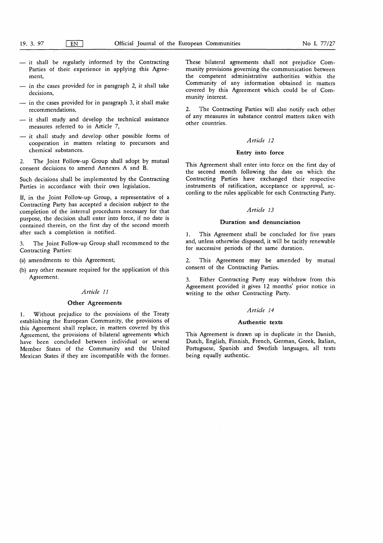- it shall be regularly informed by the Contracting Parties of their experience in applying this Agreement,
- $-$  in the cases provided for in paragraph 2, it shall take decisions,
- in the cases provided for in paragraph 3, it shall make recommendations,
- it shall study and develop the technical assistance measures referred to in Article 7,
- $-$  it shall study and develop other possible forms of cooperation in matters relating to precursors and chemical substances.

2. The Joint Follow-up Group shall adopt by mutual consent decisions to amend Annexes A and **B.**

Such decisions shall be implemented by the Contracting Parties in accordance with their own legislation.

If, in the Joint Follow-up Group, a representative of a Contracting Party has accepted a decision subject to the completion of the internal procedures necessary for that purpose, the decision shall enter into force, if no date is contained therein, on the first day of the second month after such a completion is notified.

3. The Joint Follow-up Group shall recommend to the Contracting Parties:

(a) amendments to this Agreement;

(b) any other measure required for the application of this Agreement.

#### *Article 11*

# **Other Agreements**

1. Without prejudice to the provisions of the Treaty establishing the European Community, the provisions of this Agreement shall replace, in matters covered by this Agreement, the provisions of bilateral agreements which have been concluded between individual or several Member States of the Community and the United Mexican States if they are incompatible with the former. These bilateral agreements shall not prejudice Community provisions governing the communication between the competent administrative authorities within the Community of any information obtained in matters covered by this Agreement which could be of Community interest.

2. The Contracting Parties will also notify each other of any measures in substance control matters taken with other countries.

#### *Article 12*

#### **Entry into force**

This Agreement shall enter into force on the first day of the second month following the date on which the Contracting Parties have exchanged their respective instruments of ratification, acceptance or approval, according to the rules applicable for each Contracting Party.

# *Article 13*

#### **Duration and denunciation**

1. This Agreement shall be concluded for five years and, unless otherwise disposed, it will be tacitly renewable for successive periods of the same duration.

2. This Agreement may be amended by mutual consent of the Contracting Parties.

3. Either Contracting Party may withdraw from this Agreement provided it gives 12 months' prior notice in writing to the other Contracting Party.

# *Article 14*

#### **Authentic texts**

This Agreement is drawn up in duplicate in the Danish, Dutch, English, Finnish, French, German, Greek, Italian, Portuguese, Spanish and Swedish languages, all texts being equally authentic.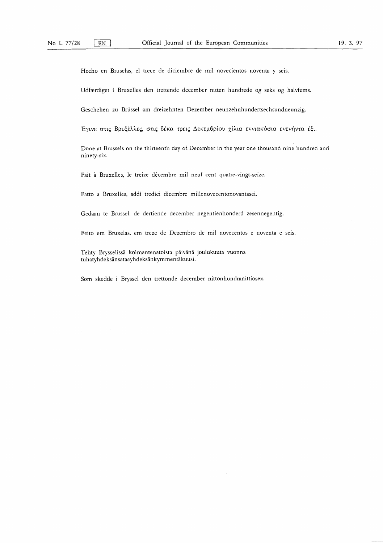Hecho en Bruselas, el trece de diciembre de mil novecientos noventa y seis.

Udfazrdiget i Bruxelles den trettende december nitten hundrede og seks og halvfems.

Geschehen zu Brüssel am dreizehnten Dezember neunzehnhundertsechsundneunzig.

Έγινε στις Βρυξέλλες, στις δέκα τρεις Δεκεμ<mark>β</mark>ρίου χίλια εννιακόσια ενενήντα

Done at Brussels on the thirteenth day of December in the year one thousand nine hundred and ninety-six.

Fait à Bruxelles, le treize décembre mil neuf cent quatre-vingt-seize.

Fatto a Bruxelles, addi tredici dicembre millenovecentonovantasei.

Gedaan te Brussel, de dertiende december negentienhonderd zesennegentig.

Feito em Bruxelas, em treze de Dezembro de mil novecentos e noventa e seis.

Tehty Brysselissa kolmantenatoista paivana joulukuuta vuonna tuhatyhdeksansataayhdeksankymmentakuusi.

Som skedde i Bryssel den trettonde december nittonhundranittiosex.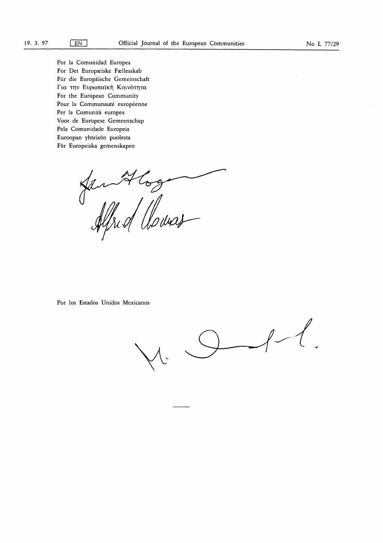Por la Comunidad Europea For Det Europæiske Fællesskab Für die Europäische Gemeinschaft Για την Ευρωπαϊκή Κοινότητα For the European Community Pour la Communauté européenne Per la Comunità europea Voor de Europese Gemeenschap Pela Comunidade Europeia Euroopan yhteisön puolesta För Europeiska gemenskapen

San Aloga

Por los Estados Unidos Mexicanos

 $\ell$